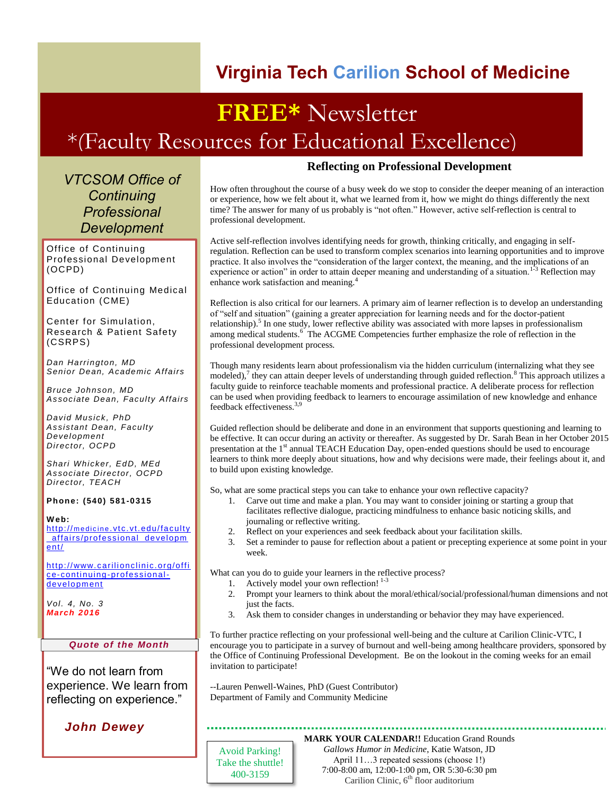## **Virginia Tech Carilion School of Medicine**

# **FREE\*** Newsletter \*(Faculty Resources for Educational Excellence)

*VTCSOM Office of Continuing Professional Development*

Office of Continuing Professional Development (OCPD)

Office of Continuing Medical Education (CME)

Center for Simulation, Research & Patient Safety (CSRPS)

*Dan Harrington, MD Senior Dean, Academic Affairs*

*Bruce Johnson, MD Associate Dean, Faculty Affairs*

*David Musick, PhD Assistant Dean, Faculty Development Director, OCPD*

*Shari Whicker, EdD, MEd Associate Director, OCPD Director, TEACH*

#### **Phone: (540) 5 81-0315**

**W eb:** http://medicine.vtc.vt.edu/faculty [\\_affairs/professional\\_developm](http://medicine.vtc.vt.edu/faculty_affairs/professional_development/) [ent/](http://medicine.vtc.vt.edu/faculty_affairs/professional_development/)

[http:// www.c arilionclinic.org/offi](http://www.carilionclinic.org/office-continuing-professional-development) [ce-continuing-professional](http://www.carilionclinic.org/office-continuing-professional-development)[development](http://www.carilionclinic.org/office-continuing-professional-development)

*Vol. 4, No. 3 March 2016*

#### *Quote of the Month*

"We do not learn from experience. We learn from reflecting on experience."

*John Dewey*

### **Reflecting on Professional Development**

How often throughout the course of a busy week do we stop to consider the deeper meaning of an interaction or experience, how we felt about it, what we learned from it, how we might do things differently the next time? The answer for many of us probably is "not often." However, active self-reflection is central to professional development.

Active self-reflection involves identifying needs for growth, thinking critically, and engaging in selfregulation. Reflection can be used to transform complex scenarios into learning opportunities and to improve practice. It also involves the "consideration of the larger context, the meaning, and the implications of an experience or action" in order to attain deeper meaning and understanding of a situation.<sup>1-3</sup> Reflection may enhance work satisfaction and meaning.<sup>4</sup>

Reflection is also critical for our learners. A primary aim of learner reflection is to develop an understanding of "self and situation" (gaining a greater appreciation for learning needs and for the doctor-patient relationship).<sup>5</sup> In one study, lower reflective ability was associated with more lapses in professionalism among medical students.<sup>6</sup> The ACGME Competencies further emphasize the role of reflection in the professional development process.

Though many residents learn about professionalism via the hidden curriculum (internalizing what they see modeled),<sup>7</sup> they can attain deeper levels of understanding through guided reflection.<sup>8</sup> This approach utilizes a faculty guide to reinforce teachable moments and professional practice. A deliberate process for reflection can be used when providing feedback to learners to encourage assimilation of new knowledge and enhance feedback effectiveness.3,9

Guided reflection should be deliberate and done in an environment that supports questioning and learning to be effective. It can occur during an activity or thereafter. As suggested by Dr. Sarah Bean in her October 2015 presentation at the 1<sup>st</sup> annual TEACH Education Day, open-ended questions should be used to encourage learners to think more deeply about situations, how and why decisions were made, their feelings about it, and to build upon existing knowledge.

So, what are some practical steps you can take to enhance your own reflective capacity?

- 1. Carve out time and make a plan. You may want to consider joining or starting a group that facilitates reflective dialogue, practicing mindfulness to enhance basic noticing skills, and journaling or reflective writing.
- 2. Reflect on your experiences and seek feedback about your facilitation skills.
- 3. Set a reminder to pause for reflection about a patient or precepting experience at some point in your week.

What can you do to guide your learners in the reflective process?

- 1. Actively model your own reflection!  $1-3$
- 2. Prompt your learners to think about the moral/ethical/social/professional/human dimensions and not just the facts.
- 3. Ask them to consider changes in understanding or behavior they may have experienced.

To further practice reflecting on your professional well-being and the culture at Carilion Clinic-VTC, I encourage you to participate in a survey of burnout and well-being among healthcare providers, sponsored by the Office of Continuing Professional Development. Be on the lookout in the coming weeks for an email invitation to participate!

--Lauren Penwell-Waines, PhD (Guest Contributor) Department of Family and Community Medicine

**MARK YOUR CALENDAR!!** Education Grand Rounds

Avoid Parking! Take the shuttle! 400-3159

*Gallows Humor in Medicine*, Katie Watson, JD April 11...3 repeated sessions (choose 1!) 7:00-8:00 am, 12:00-1:00 pm, OR 5:30-6:30 pm Carilion Clinic,  $6<sup>th</sup>$  floor auditorium